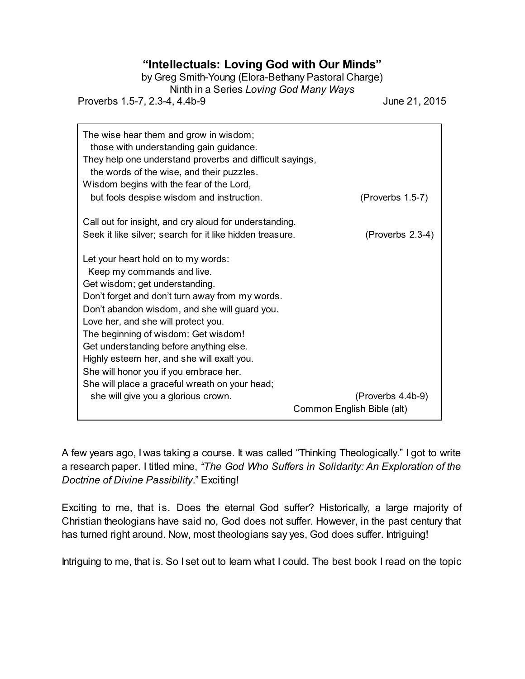## **"Intellectuals: Loving God with Our Minds"**

by Greg Smith-Young (Elora-Bethany Pastoral Charge)

Ninth in a Series *Loving God Many Ways*

Proverbs 1.5-7, 2.3-4, 4.4b-9 June 21, 2015

| The wise hear them and grow in wisdom;<br>those with understanding gain guidance.<br>They help one understand proverbs and difficult sayings,<br>the words of the wise, and their puzzles.<br>Wisdom begins with the fear of the Lord,                                                                                                                                                                                                                                                                             |                                                 |
|--------------------------------------------------------------------------------------------------------------------------------------------------------------------------------------------------------------------------------------------------------------------------------------------------------------------------------------------------------------------------------------------------------------------------------------------------------------------------------------------------------------------|-------------------------------------------------|
| but fools despise wisdom and instruction.                                                                                                                                                                                                                                                                                                                                                                                                                                                                          | (Proverbs 1.5-7)                                |
| Call out for insight, and cry aloud for understanding.                                                                                                                                                                                                                                                                                                                                                                                                                                                             |                                                 |
| Seek it like silver; search for it like hidden treasure.                                                                                                                                                                                                                                                                                                                                                                                                                                                           | (Proverbs 2.3-4)                                |
| Let your heart hold on to my words:<br>Keep my commands and live.<br>Get wisdom; get understanding.<br>Don't forget and don't turn away from my words.<br>Don't abandon wisdom, and she will guard you.<br>Love her, and she will protect you.<br>The beginning of wisdom: Get wisdom!<br>Get understanding before anything else.<br>Highly esteem her, and she will exalt you.<br>She will honor you if you embrace her.<br>She will place a graceful wreath on your head;<br>she will give you a glorious crown. | (Proverbs 4.4b-9)<br>Common English Bible (alt) |

A few years ago, I was taking a course. It was called "Thinking Theologically." I got to write a research paper. I titled mine, *"The God Who Suffers in Solidarity: An Exploration of the Doctrine of Divine Passibility*." Exciting!

Exciting to me, that is. Does the eternal God suffer? Historically, a large majority of Christian theologians have said no, God does not suffer. However, in the past century that has turned right around. Now, most theologians say yes, God does suffer. Intriguing!

Intriguing to me, that is. So I set out to learn what I could. The best book I read on the topic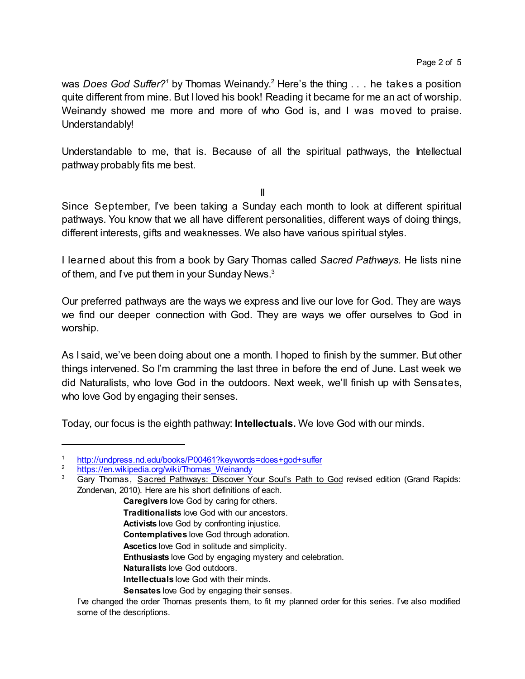was *Does God Suffer?<sup>1</sup>* by Thomas Weinandy.<sup>2</sup> Here's the thing . . . he takes a position quite different from mine. But I loved his book! Reading it became for me an act of worship. Weinandy showed me more and more of who God is, and I was moved to praise. Understandably!

Understandable to me, that is. Because of all the spiritual pathways, the Intellectual pathway probably fits me best.

II

Since September, I've been taking a Sunday each month to look at different spiritual pathways. You know that we all have different personalities, different ways of doing things, different interests, gifts and weaknesses. We also have various spiritual styles.

I learned about this from a book by Gary Thomas called *Sacred Pathways.* He lists nine of them, and I've put them in your Sunday News.<sup>3</sup>

Our preferred pathways are the ways we express and live our love for God. They are ways we find our deeper connection with God. They are ways we offer ourselves to God in worship.

As I said, we've been doing about one a month. I hoped to finish by the summer. But other things intervened. So I'm cramming the last three in before the end of June. Last week we did Naturalists, who love God in the outdoors. Next week, we'll finish up with Sensates, who love God by engaging their senses.

Today, our focus is the eighth pathway: **Intellectuals.** We love God with our minds.

- **Caregivers** love God by caring for others. **Traditionalists** love God with our ancestors. **Activists** love God by confronting injustice. **Contemplatives** love God through adoration. **Ascetics** love God in solitude and simplicity. **Enthusiasts** love God by engaging mystery and celebration.
	- **Naturalists** love God outdoors.
	- **Intellectuals** love God with their minds.
	- **Sensates** love God by engaging their senses.

<sup>1</sup> <http://undpress.nd.edu/books/P00461?keywords=does+god+suffer>

[https://en.wikipedia.org/wiki/Thomas\\_Weinandy](https://en.wikipedia.org/wiki/Thomas_Weinandy)

Gary Thomas, Sacred Pathways: Discover Your Soul's Path to God revised edition (Grand Rapids: Zondervan, 2010). Here are his short definitions of each.

I've changed the order Thomas presents them, to fit my planned order for this series. I've also modified some of the descriptions.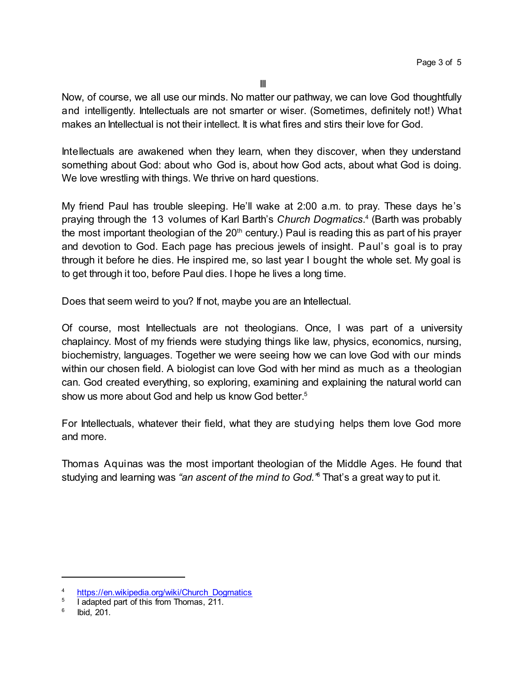Now, of course, we all use our minds. No matter our pathway, we can love God thoughtfully and intelligently. Intellectuals are not smarter or wiser. (Sometimes, definitely not!) What makes an Intellectual is not their intellect. It is what fires and stirs their love for God.

Intellectuals are awakened when they learn, when they discover, when they understand something about God: about who God is, about how God acts, about what God is doing. We love wrestling with things. We thrive on hard questions.

My friend Paul has trouble sleeping. He'll wake at 2:00 a.m. to pray. These days he's praying through the 13 volumes of Karl Barth's *Church Dogmatics*. 4 (Barth was probably the most important theologian of the  $20<sup>th</sup>$  century.) Paul is reading this as part of his prayer and devotion to God. Each page has precious jewels of insight. Paul's goal is to pray through it before he dies. He inspired me, so last year I bought the whole set. My goal is to get through it too, before Paul dies. I hope he lives a long time.

Does that seem weird to you? If not, maybe you are an Intellectual.

Of course, most Intellectuals are not theologians. Once, I was part of a university chaplaincy. Most of my friends were studying things like law, physics, economics, nursing, biochemistry, languages. Together we were seeing how we can love God with our minds within our chosen field. A biologist can love God with her mind as much as a theologian can. God created everything, so exploring, examining and explaining the natural world can show us more about God and help us know God better. 5

For Intellectuals, whatever their field, what they are studying helps them love God more and more.

Thomas Aquinas was the most important theologian of the Middle Ages. He found that studying and learning was *"an ascent of the mind to God."* <sup>6</sup> That's a great way to put it.

<sup>4</sup> [https://en.wikipedia.org/wiki/Church\\_Dogmatics](https://en.wikipedia.org/wiki/Church_Dogmatics)

<sup>5</sup> I adapted part of this from Thomas, 211.

<sup>6</sup> Ibid, 201.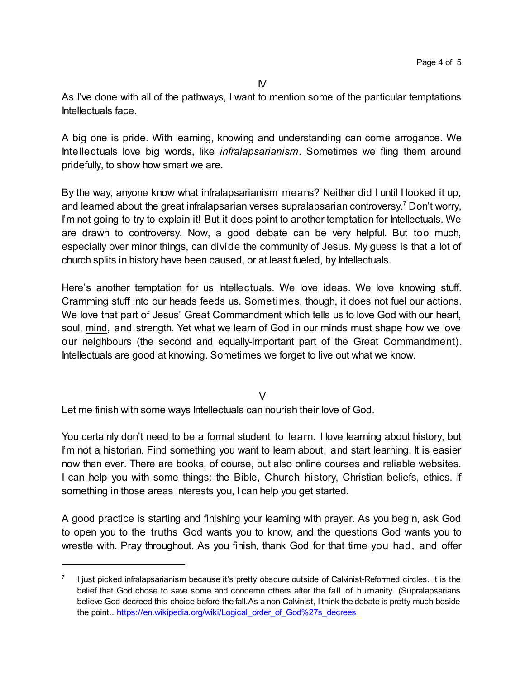As I've done with all of the pathways, I want to mention some of the particular temptations Intellectuals face.

A big one is pride. With learning, knowing and understanding can come arrogance. We Intellectuals love big words, like *infralapsarianism*. Sometimes we fling them around pridefully, to show how smart we are.

By the way, anyone know what infralapsarianism means? Neither did I until I looked it up, and learned about the great infralapsarian verses supralapsarian controversy. <sup>7</sup> Don't worry, I'm not going to try to explain it! But it does point to another temptation for Intellectuals. We are drawn to controversy. Now, a good debate can be very helpful. But too much, especially over minor things, can divide the community of Jesus. My guess is that a lot of church splits in history have been caused, or at least fueled, by Intellectuals.

Here's another temptation for us Intellectuals. We love ideas. We love knowing stuff. Cramming stuff into our heads feeds us. Sometimes, though, it does not fuel our actions. We love that part of Jesus' Great Commandment which tells us to love God with our heart, soul, mind, and strength. Yet what we learn of God in our minds must shape how we love our neighbours (the second and equally-important part of the Great Commandment). Intellectuals are good at knowing. Sometimes we forget to live out what we know.

 $\vee$ 

Let me finish with some ways Intellectuals can nourish their love of God.

You certainly don't need to be a formal student to learn. I love learning about history, but I'm not a historian. Find something you want to learn about, and start learning. It is easier now than ever. There are books, of course, but also online courses and reliable websites. I can help you with some things: the Bible, Church history, Christian beliefs, ethics. If something in those areas interests you, I can help you get started.

A good practice is starting and finishing your learning with prayer. As you begin, ask God to open you to the truths God wants you to know, and the questions God wants you to wrestle with. Pray throughout. As you finish, thank God for that time you had, and offer

<sup>7</sup> I just picked infralapsarianism because it's pretty obscure outside of Calvinist-Reformed circles. It is the belief that God chose to save some and condemn others after the fall of humanity. (Supralapsarians believe God decreed this choice before the fall.As a non-Calvinist, I think the debate is pretty much beside the point... [https://en.wikipedia.org/wiki/Logical\\_order\\_of\\_God%27s\\_decrees](https://en.wikipedia.org/wiki/Logical_order_of_God%27s_decrees)